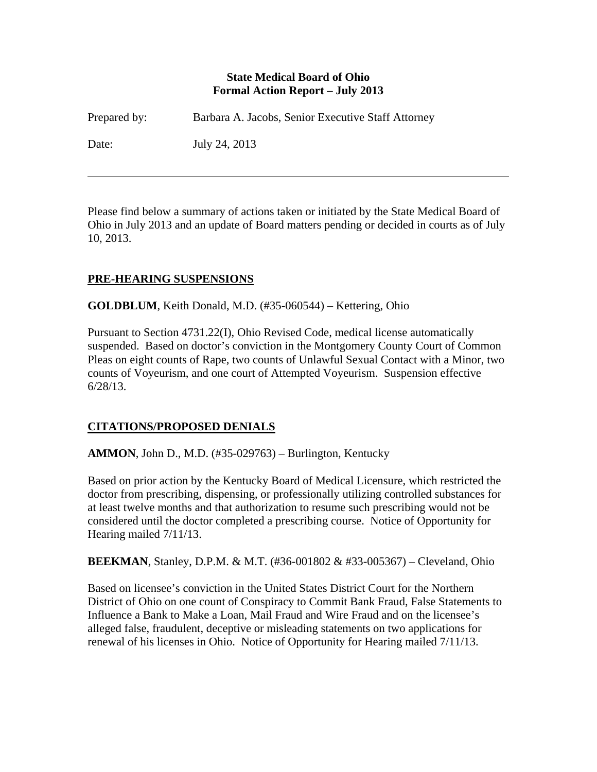#### **State Medical Board of Ohio Formal Action Report – July 2013**

| Prepared by: | Barbara A. Jacobs, Senior Executive Staff Attorney |
|--------------|----------------------------------------------------|
| Date:        | July 24, 2013                                      |

Please find below a summary of actions taken or initiated by the State Medical Board of Ohio in July 2013 and an update of Board matters pending or decided in courts as of July 10, 2013.

# **PRE-HEARING SUSPENSIONS**

 $\overline{a}$ 

**GOLDBLUM**, Keith Donald, M.D. (#35-060544) – Kettering, Ohio

Pursuant to Section 4731.22(I), Ohio Revised Code, medical license automatically suspended. Based on doctor's conviction in the Montgomery County Court of Common Pleas on eight counts of Rape, two counts of Unlawful Sexual Contact with a Minor, two counts of Voyeurism, and one court of Attempted Voyeurism. Suspension effective 6/28/13.

# **CITATIONS/PROPOSED DENIALS**

## **AMMON**, John D., M.D. (#35-029763) – Burlington, Kentucky

Based on prior action by the Kentucky Board of Medical Licensure, which restricted the doctor from prescribing, dispensing, or professionally utilizing controlled substances for at least twelve months and that authorization to resume such prescribing would not be considered until the doctor completed a prescribing course. Notice of Opportunity for Hearing mailed 7/11/13.

**BEEKMAN**, Stanley, D.P.M. & M.T. (#36-001802 & #33-005367) – Cleveland, Ohio

Based on licensee's conviction in the United States District Court for the Northern District of Ohio on one count of Conspiracy to Commit Bank Fraud, False Statements to Influence a Bank to Make a Loan, Mail Fraud and Wire Fraud and on the licensee's alleged false, fraudulent, deceptive or misleading statements on two applications for renewal of his licenses in Ohio. Notice of Opportunity for Hearing mailed 7/11/13.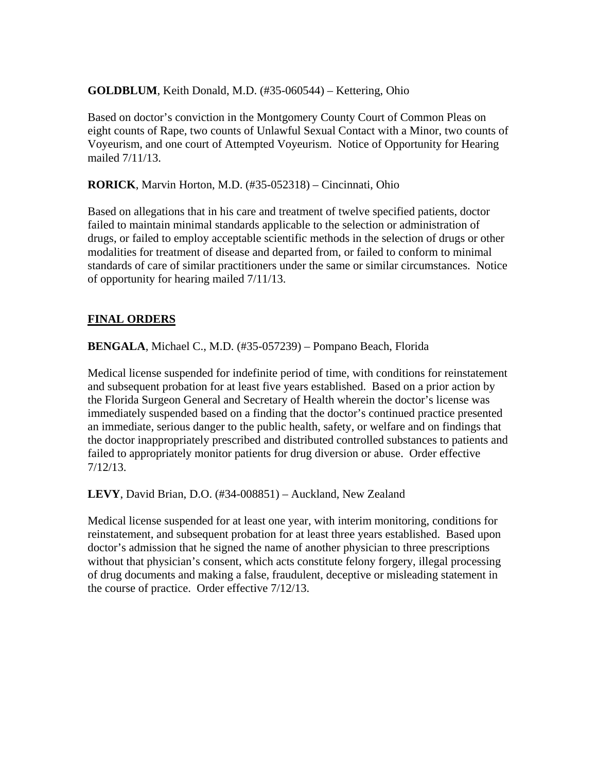#### **GOLDBLUM**, Keith Donald, M.D. (#35-060544) – Kettering, Ohio

Based on doctor's conviction in the Montgomery County Court of Common Pleas on eight counts of Rape, two counts of Unlawful Sexual Contact with a Minor, two counts of Voyeurism, and one court of Attempted Voyeurism. Notice of Opportunity for Hearing mailed 7/11/13.

**RORICK**, Marvin Horton, M.D. (#35-052318) – Cincinnati, Ohio

Based on allegations that in his care and treatment of twelve specified patients, doctor failed to maintain minimal standards applicable to the selection or administration of drugs, or failed to employ acceptable scientific methods in the selection of drugs or other modalities for treatment of disease and departed from, or failed to conform to minimal standards of care of similar practitioners under the same or similar circumstances. Notice of opportunity for hearing mailed 7/11/13.

## **FINAL ORDERS**

**BENGALA**, Michael C., M.D. (#35-057239) – Pompano Beach, Florida

Medical license suspended for indefinite period of time, with conditions for reinstatement and subsequent probation for at least five years established. Based on a prior action by the Florida Surgeon General and Secretary of Health wherein the doctor's license was immediately suspended based on a finding that the doctor's continued practice presented an immediate, serious danger to the public health, safety, or welfare and on findings that the doctor inappropriately prescribed and distributed controlled substances to patients and failed to appropriately monitor patients for drug diversion or abuse. Order effective 7/12/13.

**LEVY**, David Brian, D.O. (#34-008851) – Auckland, New Zealand

Medical license suspended for at least one year, with interim monitoring, conditions for reinstatement, and subsequent probation for at least three years established. Based upon doctor's admission that he signed the name of another physician to three prescriptions without that physician's consent, which acts constitute felony forgery, illegal processing of drug documents and making a false, fraudulent, deceptive or misleading statement in the course of practice. Order effective 7/12/13.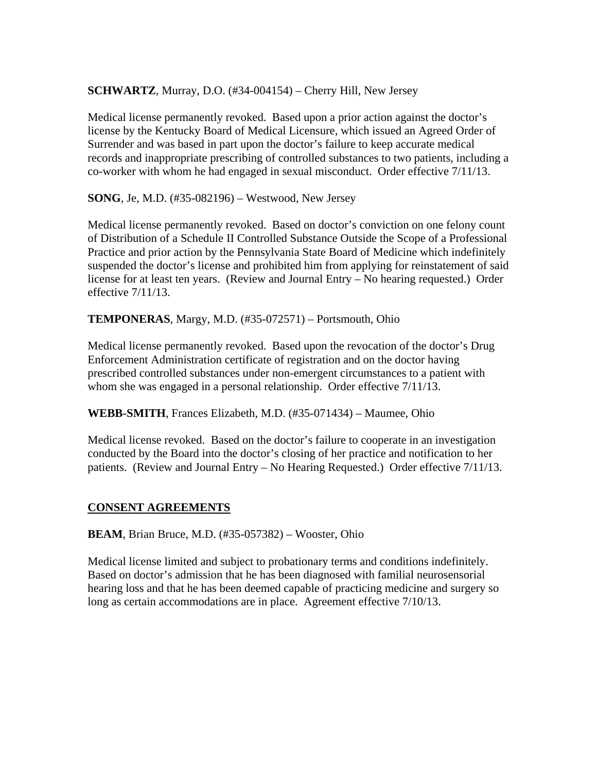#### **SCHWARTZ**, Murray, D.O. (#34-004154) – Cherry Hill, New Jersey

Medical license permanently revoked. Based upon a prior action against the doctor's license by the Kentucky Board of Medical Licensure, which issued an Agreed Order of Surrender and was based in part upon the doctor's failure to keep accurate medical records and inappropriate prescribing of controlled substances to two patients, including a co-worker with whom he had engaged in sexual misconduct. Order effective 7/11/13.

**SONG**, Je, M.D. (#35-082196) – Westwood, New Jersey

Medical license permanently revoked. Based on doctor's conviction on one felony count of Distribution of a Schedule II Controlled Substance Outside the Scope of a Professional Practice and prior action by the Pennsylvania State Board of Medicine which indefinitely suspended the doctor's license and prohibited him from applying for reinstatement of said license for at least ten years. (Review and Journal Entry – No hearing requested.) Order effective 7/11/13.

**TEMPONERAS**, Margy, M.D. (#35-072571) – Portsmouth, Ohio

Medical license permanently revoked. Based upon the revocation of the doctor's Drug Enforcement Administration certificate of registration and on the doctor having prescribed controlled substances under non-emergent circumstances to a patient with whom she was engaged in a personal relationship. Order effective  $7/11/13$ .

**WEBB-SMITH**, Frances Elizabeth, M.D. (#35-071434) – Maumee, Ohio

Medical license revoked. Based on the doctor's failure to cooperate in an investigation conducted by the Board into the doctor's closing of her practice and notification to her patients. (Review and Journal Entry – No Hearing Requested.) Order effective 7/11/13.

## **CONSENT AGREEMENTS**

**BEAM**, Brian Bruce, M.D. (#35-057382) – Wooster, Ohio

Medical license limited and subject to probationary terms and conditions indefinitely. Based on doctor's admission that he has been diagnosed with familial neurosensorial hearing loss and that he has been deemed capable of practicing medicine and surgery so long as certain accommodations are in place. Agreement effective 7/10/13.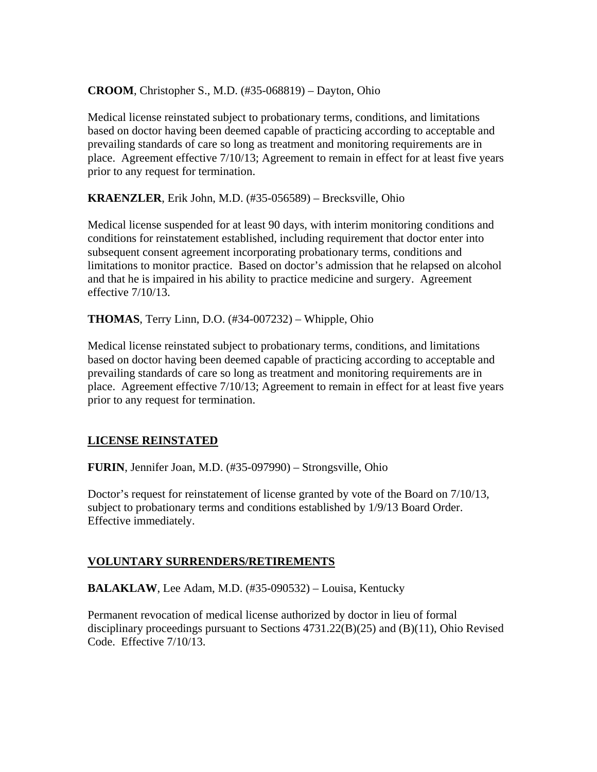**CROOM**, Christopher S., M.D. (#35-068819) – Dayton, Ohio

Medical license reinstated subject to probationary terms, conditions, and limitations based on doctor having been deemed capable of practicing according to acceptable and prevailing standards of care so long as treatment and monitoring requirements are in place. Agreement effective 7/10/13; Agreement to remain in effect for at least five years prior to any request for termination.

**KRAENZLER**, Erik John, M.D. (#35-056589) – Brecksville, Ohio

Medical license suspended for at least 90 days, with interim monitoring conditions and conditions for reinstatement established, including requirement that doctor enter into subsequent consent agreement incorporating probationary terms, conditions and limitations to monitor practice. Based on doctor's admission that he relapsed on alcohol and that he is impaired in his ability to practice medicine and surgery. Agreement effective 7/10/13.

**THOMAS**, Terry Linn, D.O. (#34-007232) – Whipple, Ohio

Medical license reinstated subject to probationary terms, conditions, and limitations based on doctor having been deemed capable of practicing according to acceptable and prevailing standards of care so long as treatment and monitoring requirements are in place. Agreement effective 7/10/13; Agreement to remain in effect for at least five years prior to any request for termination.

## **LICENSE REINSTATED**

**FURIN**, Jennifer Joan, M.D. (#35-097990) – Strongsville, Ohio

Doctor's request for reinstatement of license granted by vote of the Board on 7/10/13, subject to probationary terms and conditions established by 1/9/13 Board Order. Effective immediately.

#### **VOLUNTARY SURRENDERS/RETIREMENTS**

**BALAKLAW**, Lee Adam, M.D. (#35-090532) – Louisa, Kentucky

Permanent revocation of medical license authorized by doctor in lieu of formal disciplinary proceedings pursuant to Sections  $4731.22(B)(25)$  and  $(B)(11)$ , Ohio Revised Code. Effective 7/10/13.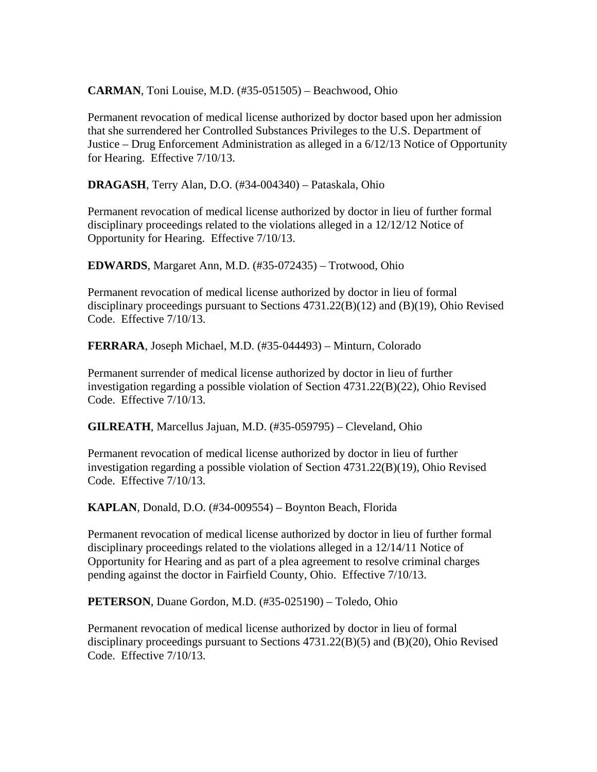**CARMAN**, Toni Louise, M.D. (#35-051505) – Beachwood, Ohio

Permanent revocation of medical license authorized by doctor based upon her admission that she surrendered her Controlled Substances Privileges to the U.S. Department of Justice – Drug Enforcement Administration as alleged in a 6/12/13 Notice of Opportunity for Hearing. Effective 7/10/13.

**DRAGASH**, Terry Alan, D.O. (#34-004340) – Pataskala, Ohio

Permanent revocation of medical license authorized by doctor in lieu of further formal disciplinary proceedings related to the violations alleged in a 12/12/12 Notice of Opportunity for Hearing. Effective 7/10/13.

**EDWARDS**, Margaret Ann, M.D. (#35-072435) – Trotwood, Ohio

Permanent revocation of medical license authorized by doctor in lieu of formal disciplinary proceedings pursuant to Sections 4731.22(B)(12) and (B)(19), Ohio Revised Code. Effective 7/10/13.

**FERRARA**, Joseph Michael, M.D. (#35-044493) – Minturn, Colorado

Permanent surrender of medical license authorized by doctor in lieu of further investigation regarding a possible violation of Section 4731.22(B)(22), Ohio Revised Code. Effective 7/10/13.

**GILREATH**, Marcellus Jajuan, M.D. (#35-059795) – Cleveland, Ohio

Permanent revocation of medical license authorized by doctor in lieu of further investigation regarding a possible violation of Section 4731.22(B)(19), Ohio Revised Code. Effective 7/10/13.

**KAPLAN**, Donald, D.O. (#34-009554) – Boynton Beach, Florida

Permanent revocation of medical license authorized by doctor in lieu of further formal disciplinary proceedings related to the violations alleged in a 12/14/11 Notice of Opportunity for Hearing and as part of a plea agreement to resolve criminal charges pending against the doctor in Fairfield County, Ohio. Effective 7/10/13.

**PETERSON**, Duane Gordon, M.D. (#35-025190) – Toledo, Ohio

Permanent revocation of medical license authorized by doctor in lieu of formal disciplinary proceedings pursuant to Sections 4731.22(B)(5) and (B)(20), Ohio Revised Code. Effective 7/10/13.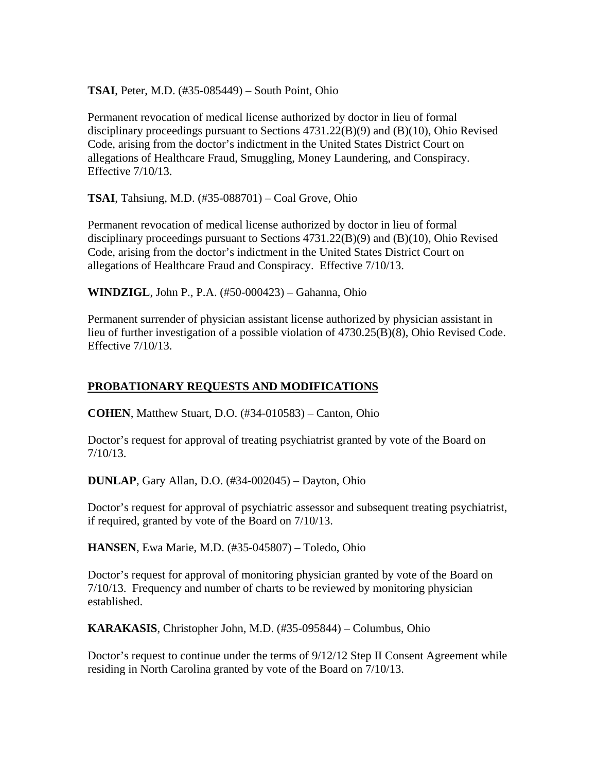**TSAI**, Peter, M.D. (#35-085449) – South Point, Ohio

Permanent revocation of medical license authorized by doctor in lieu of formal disciplinary proceedings pursuant to Sections 4731.22(B)(9) and (B)(10), Ohio Revised Code, arising from the doctor's indictment in the United States District Court on allegations of Healthcare Fraud, Smuggling, Money Laundering, and Conspiracy. Effective 7/10/13.

**TSAI**, Tahsiung, M.D. (#35-088701) – Coal Grove, Ohio

Permanent revocation of medical license authorized by doctor in lieu of formal disciplinary proceedings pursuant to Sections 4731.22(B)(9) and (B)(10), Ohio Revised Code, arising from the doctor's indictment in the United States District Court on allegations of Healthcare Fraud and Conspiracy. Effective 7/10/13.

**WINDZIGL**, John P., P.A. (#50-000423) – Gahanna, Ohio

Permanent surrender of physician assistant license authorized by physician assistant in lieu of further investigation of a possible violation of 4730.25(B)(8), Ohio Revised Code. Effective 7/10/13.

# **PROBATIONARY REQUESTS AND MODIFICATIONS**

**COHEN**, Matthew Stuart, D.O. (#34-010583) – Canton, Ohio

Doctor's request for approval of treating psychiatrist granted by vote of the Board on 7/10/13.

**DUNLAP**, Gary Allan, D.O. (#34-002045) – Dayton, Ohio

Doctor's request for approval of psychiatric assessor and subsequent treating psychiatrist, if required, granted by vote of the Board on 7/10/13.

**HANSEN**, Ewa Marie, M.D. (#35-045807) – Toledo, Ohio

Doctor's request for approval of monitoring physician granted by vote of the Board on 7/10/13. Frequency and number of charts to be reviewed by monitoring physician established.

**KARAKASIS**, Christopher John, M.D. (#35-095844) – Columbus, Ohio

Doctor's request to continue under the terms of 9/12/12 Step II Consent Agreement while residing in North Carolina granted by vote of the Board on 7/10/13.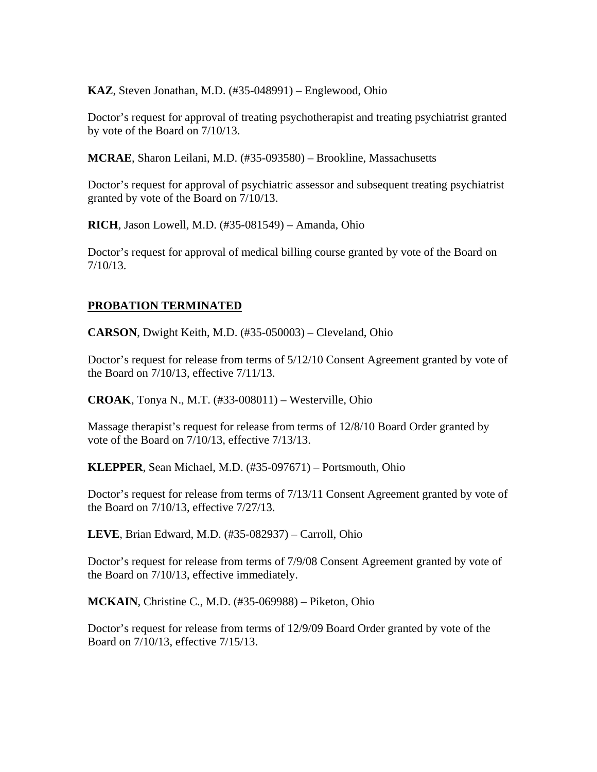**KAZ**, Steven Jonathan, M.D. (#35-048991) – Englewood, Ohio

Doctor's request for approval of treating psychotherapist and treating psychiatrist granted by vote of the Board on 7/10/13.

**MCRAE**, Sharon Leilani, M.D. (#35-093580) – Brookline, Massachusetts

Doctor's request for approval of psychiatric assessor and subsequent treating psychiatrist granted by vote of the Board on 7/10/13.

**RICH**, Jason Lowell, M.D. (#35-081549) – Amanda, Ohio

Doctor's request for approval of medical billing course granted by vote of the Board on 7/10/13.

## **PROBATION TERMINATED**

**CARSON**, Dwight Keith, M.D. (#35-050003) – Cleveland, Ohio

Doctor's request for release from terms of 5/12/10 Consent Agreement granted by vote of the Board on 7/10/13, effective 7/11/13.

**CROAK**, Tonya N., M.T. (#33-008011) – Westerville, Ohio

Massage therapist's request for release from terms of 12/8/10 Board Order granted by vote of the Board on 7/10/13, effective 7/13/13.

**KLEPPER**, Sean Michael, M.D. (#35-097671) – Portsmouth, Ohio

Doctor's request for release from terms of 7/13/11 Consent Agreement granted by vote of the Board on 7/10/13, effective 7/27/13.

**LEVE**, Brian Edward, M.D. (#35-082937) – Carroll, Ohio

Doctor's request for release from terms of 7/9/08 Consent Agreement granted by vote of the Board on 7/10/13, effective immediately.

**MCKAIN**, Christine C., M.D. (#35-069988) – Piketon, Ohio

Doctor's request for release from terms of 12/9/09 Board Order granted by vote of the Board on 7/10/13, effective 7/15/13.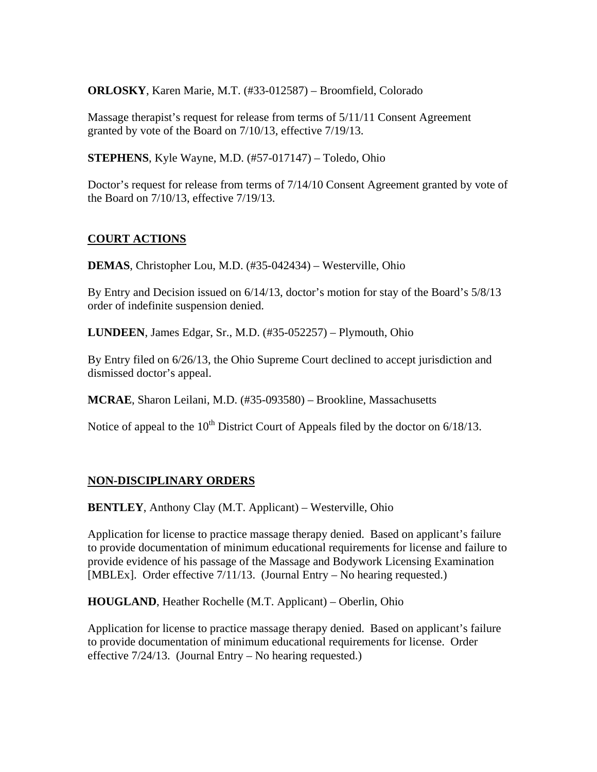**ORLOSKY**, Karen Marie, M.T. (#33-012587) – Broomfield, Colorado

Massage therapist's request for release from terms of 5/11/11 Consent Agreement granted by vote of the Board on 7/10/13, effective 7/19/13.

**STEPHENS**, Kyle Wayne, M.D. (#57-017147) – Toledo, Ohio

Doctor's request for release from terms of 7/14/10 Consent Agreement granted by vote of the Board on 7/10/13, effective 7/19/13.

## **COURT ACTIONS**

**DEMAS**, Christopher Lou, M.D. (#35-042434) – Westerville, Ohio

By Entry and Decision issued on 6/14/13, doctor's motion for stay of the Board's 5/8/13 order of indefinite suspension denied.

**LUNDEEN**, James Edgar, Sr., M.D. (#35-052257) – Plymouth, Ohio

By Entry filed on 6/26/13, the Ohio Supreme Court declined to accept jurisdiction and dismissed doctor's appeal.

**MCRAE**, Sharon Leilani, M.D. (#35-093580) – Brookline, Massachusetts

Notice of appeal to the  $10^{th}$  District Court of Appeals filed by the doctor on  $6/18/13$ .

## **NON-DISCIPLINARY ORDERS**

**BENTLEY**, Anthony Clay (M.T. Applicant) – Westerville, Ohio

Application for license to practice massage therapy denied. Based on applicant's failure to provide documentation of minimum educational requirements for license and failure to provide evidence of his passage of the Massage and Bodywork Licensing Examination [MBLEx]. Order effective 7/11/13. (Journal Entry – No hearing requested.)

**HOUGLAND**, Heather Rochelle (M.T. Applicant) – Oberlin, Ohio

Application for license to practice massage therapy denied. Based on applicant's failure to provide documentation of minimum educational requirements for license. Order effective 7/24/13. (Journal Entry – No hearing requested.)